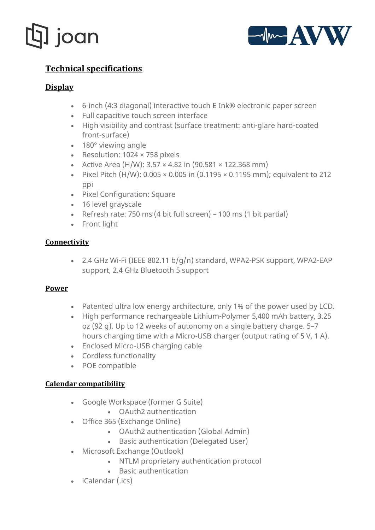



# **[Technical specifications](https://getjoan.com/shop/joan-6/#tab-product_tabs_2)**

# **Display**

- 6-inch (4:3 diagonal) interactive touch E Ink® electronic paper screen
- Full capacitive touch screen interface
- High visibility and contrast (surface treatment: anti-glare hard-coated front-surface)
- 180° viewing angle
- Resolution: 1024 × 758 pixels
- Active Area (H/W):  $3.57 \times 4.82$  in (90.581  $\times$  122.368 mm)
- Pixel Pitch  $(H/W)$ : 0.005  $\times$  0.005 in (0.1195  $\times$  0.1195 mm); equivalent to 212 ppi
- Pixel Configuration: Square
- 16 level gravscale
- Refresh rate: 750 ms (4 bit full screen) 100 ms (1 bit partial)
- Front light

## **Connectivity**

• 2.4 GHz Wi-Fi (IEEE 802.11 b/g/n) standard, WPA2-PSK support, WPA2-EAP support, 2.4 GHz Bluetooth 5 support

## **Power**

- Patented ultra low energy architecture, only 1% of the power used by LCD.
- High performance rechargeable Lithium-Polymer 5,400 mAh battery, 3.25 oz (92 g). Up to 12 weeks of autonomy on a single battery charge. 5–7 hours charging time with a Micro-USB charger (output rating of 5 V, 1 A).
- Enclosed Micro-USB charging cable
- Cordless functionality
- POE compatible

## **Calendar compatibility**

- Google Workspace (former G Suite)
	- OAuth2 authentication
- Office 365 (Exchange Online)
	- OAuth2 authentication (Global Admin)
	- Basic authentication (Delegated User)
- Microsoft Exchange (Outlook)
	- NTLM proprietary authentication protocol
	- Basic authentication
- iCalendar (.ics)